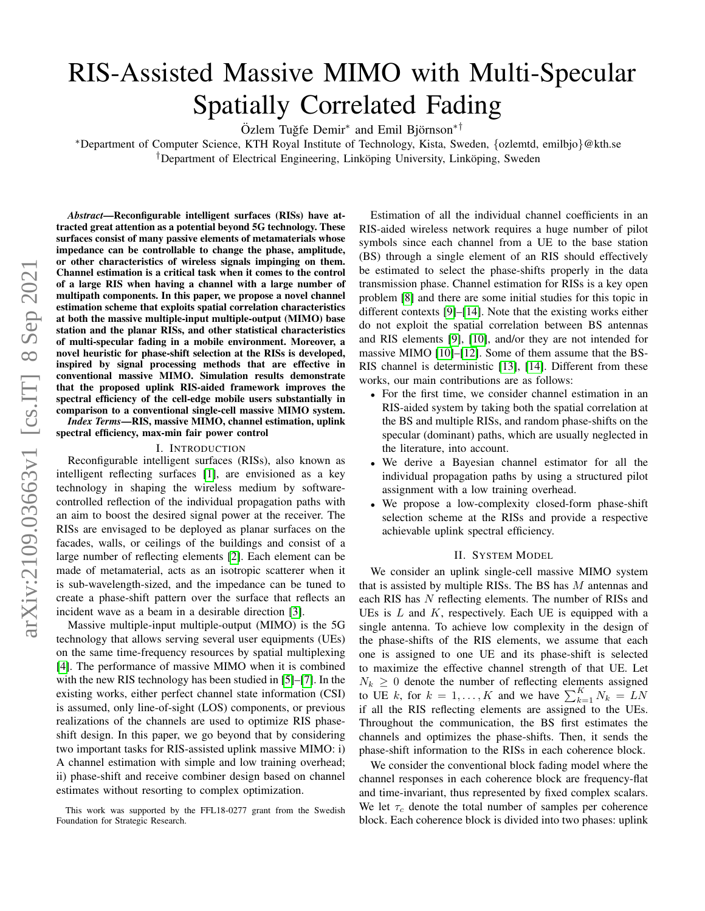# RIS-Assisted Massive MIMO with Multi-Specular Spatially Correlated Fading

Özlem Tuğfe Demir<sup>\*</sup> and Emil Björnson<sup>\*†</sup>

<sup>∗</sup>Department of Computer Science, KTH Royal Institute of Technology, Kista, Sweden, {ozlemtd, emilbjo}@kth.se

<sup>†</sup>Department of Electrical Engineering, Linköping University, Linköping, Sweden

*Abstract*—Reconfigurable intelligent surfaces (RISs) have attracted great attention as a potential beyond 5G technology. These surfaces consist of many passive elements of metamaterials whose impedance can be controllable to change the phase, amplitude, or other characteristics of wireless signals impinging on them. Channel estimation is a critical task when it comes to the control of a large RIS when having a channel with a large number of multipath components. In this paper, we propose a novel channel estimation scheme that exploits spatial correlation characteristics at both the massive multiple-input multiple-output (MIMO) base station and the planar RISs, and other statistical characteristics of multi-specular fading in a mobile environment. Moreover, a novel heuristic for phase-shift selection at the RISs is developed, inspired by signal processing methods that are effective in conventional massive MIMO. Simulation results demonstrate that the proposed uplink RIS-aided framework improves the spectral efficiency of the cell-edge mobile users substantially in comparison to a conventional single-cell massive MIMO system. *Index Terms*—RIS, massive MIMO, channel estimation, uplink

spectral efficiency, max-min fair power control

#### I. INTRODUCTION

Reconfigurable intelligent surfaces (RISs), also known as intelligent reflecting surfaces [\[1\]](#page-5-0), are envisioned as a key technology in shaping the wireless medium by softwarecontrolled reflection of the individual propagation paths with an aim to boost the desired signal power at the receiver. The RISs are envisaged to be deployed as planar surfaces on the facades, walls, or ceilings of the buildings and consist of a large number of reflecting elements [\[2\]](#page-5-1). Each element can be made of metamaterial, acts as an isotropic scatterer when it is sub-wavelength-sized, and the impedance can be tuned to create a phase-shift pattern over the surface that reflects an incident wave as a beam in a desirable direction [\[3\]](#page-5-2).

Massive multiple-input multiple-output (MIMO) is the 5G technology that allows serving several user equipments (UEs) on the same time-frequency resources by spatial multiplexing [\[4\]](#page-5-3). The performance of massive MIMO when it is combined with the new RIS technology has been studied in [\[5\]](#page-5-4)–[\[7\]](#page-5-5). In the existing works, either perfect channel state information (CSI) is assumed, only line-of-sight (LOS) components, or previous realizations of the channels are used to optimize RIS phaseshift design. In this paper, we go beyond that by considering two important tasks for RIS-assisted uplink massive MIMO: i) A channel estimation with simple and low training overhead; ii) phase-shift and receive combiner design based on channel estimates without resorting to complex optimization.

Estimation of all the individual channel coefficients in an RIS-aided wireless network requires a huge number of pilot symbols since each channel from a UE to the base station (BS) through a single element of an RIS should effectively be estimated to select the phase-shifts properly in the data transmission phase. Channel estimation for RISs is a key open problem [\[8\]](#page-5-6) and there are some initial studies for this topic in different contexts [\[9\]](#page-5-7)–[\[14\]](#page-5-8). Note that the existing works either do not exploit the spatial correlation between BS antennas and RIS elements [\[9\]](#page-5-7), [\[10\]](#page-5-9), and/or they are not intended for massive MIMO [\[10\]](#page-5-9)–[\[12\]](#page-5-10). Some of them assume that the BS-RIS channel is deterministic [\[13\]](#page-5-11), [\[14\]](#page-5-8). Different from these works, our main contributions are as follows:

- For the first time, we consider channel estimation in an RIS-aided system by taking both the spatial correlation at the BS and multiple RISs, and random phase-shifts on the specular (dominant) paths, which are usually neglected in the literature, into account.
- We derive a Bayesian channel estimator for all the individual propagation paths by using a structured pilot assignment with a low training overhead.
- We propose a low-complexity closed-form phase-shift selection scheme at the RISs and provide a respective achievable uplink spectral efficiency.

#### II. SYSTEM MODEL

We consider an uplink single-cell massive MIMO system that is assisted by multiple RISs. The BS has M antennas and each RIS has N reflecting elements. The number of RISs and UEs is  $L$  and  $K$ , respectively. Each UE is equipped with a single antenna. To achieve low complexity in the design of the phase-shifts of the RIS elements, we assume that each one is assigned to one UE and its phase-shift is selected to maximize the effective channel strength of that UE. Let  $N_k \geq 0$  denote the number of reflecting elements assigned to UE k, for  $k = 1, ..., K$  and we have  $\sum_{k=1}^{K} N_k = LN$ if all the RIS reflecting elements are assigned to the UEs. Throughout the communication, the BS first estimates the channels and optimizes the phase-shifts. Then, it sends the phase-shift information to the RISs in each coherence block.

We consider the conventional block fading model where the channel responses in each coherence block are frequency-flat and time-invariant, thus represented by fixed complex scalars. We let  $\tau_c$  denote the total number of samples per coherence block. Each coherence block is divided into two phases: uplink

This work was supported by the FFL18-0277 grant from the Swedish Foundation for Strategic Research.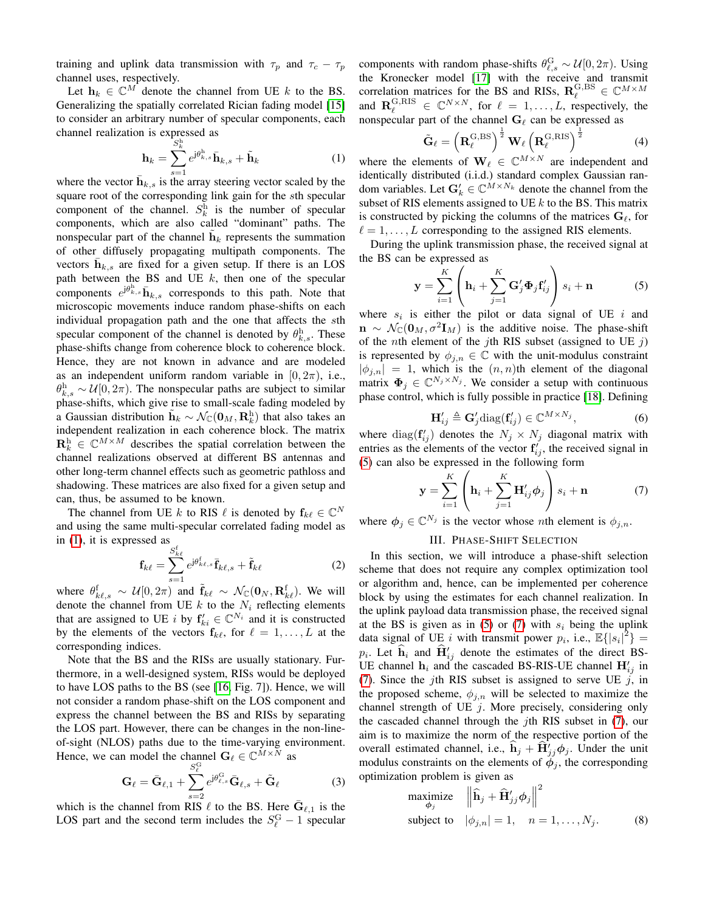training and uplink data transmission with  $\tau_p$  and  $\tau_c - \tau_p$ channel uses, respectively.

Let  $h_k \in \mathbb{C}^M$  denote the channel from UE k to the BS. Generalizing the spatially correlated Rician fading model [\[15\]](#page-5-12) to consider an arbitrary number of specular components, each channel realization is expressed as

<span id="page-1-0"></span>
$$
\mathbf{h}_{k} = \sum_{s=1}^{S_{k}^{\mathrm{h}}} e^{\mathrm{j}\theta_{k,s}^{\mathrm{h}}} \bar{\mathbf{h}}_{k,s} + \tilde{\mathbf{h}}_{k}
$$
 (1)

where the vector  $\bar{\mathbf{h}}_{k,s}$  is the array steering vector scaled by the square root of the corresponding link gain for the sth specular component of the channel.  $S_k^{\text{h}}$  is the number of specular components, which are also called "dominant" paths. The nonspecular part of the channel  $\tilde{\mathbf{h}}_k$  represents the summation of other diffusely propagating multipath components. The vectors  $\bar{\mathbf{h}}_{k,s}$  are fixed for a given setup. If there is an LOS path between the BS and UE  $k$ , then one of the specular components  $e^{j\theta_{k,s}^h}\bar{\mathbf{h}}_{k,s}$  corresponds to this path. Note that microscopic movements induce random phase-shifts on each individual propagation path and the one that affects the sth specular component of the channel is denoted by  $\theta_{k,s}^{\text{h}}$ . These phase-shifts change from coherence block to coherence block. Hence, they are not known in advance and are modeled as an independent uniform random variable in  $[0, 2\pi)$ , i.e.,  $\theta_{k,s}^{\text{h}} \sim \mathcal{U}[0, 2\pi)$ . The nonspecular paths are subject to similar phase-shifts, which give rise to small-scale fading modeled by a Gaussian distribution  $\tilde{\mathbf{h}}_k \sim \mathcal{N}_{\mathbb{C}}(\mathbf{0}_M, \mathbf{R}_k^{\text{h}})$  that also takes an independent realization in each coherence block. The matrix  ${\bf R}_k^{\rm h} \in \mathbb{C}^{M \times M}$  describes the spatial correlation between the channel realizations observed at different BS antennas and other long-term channel effects such as geometric pathloss and shadowing. These matrices are also fixed for a given setup and can, thus, be assumed to be known.

The channel from UE k to RIS  $\ell$  is denoted by  $f_{k\ell} \in \mathbb{C}^N$ and using the same multi-specular correlated fading model as in [\(1\)](#page-1-0), it is expressed as f

$$
\mathbf{f}_{k\ell} = \sum_{s=1}^{S_{k\ell}^1} e^{j\theta_{k\ell,s}^f} \bar{\mathbf{f}}_{k\ell,s} + \tilde{\mathbf{f}}_{k\ell} \tag{2}
$$

where  $\theta_{k\ell,s}^{\text{f}} \sim \mathcal{U}[0,2\pi)$  and  $\tilde{\mathbf{f}}_{k\ell} \sim \mathcal{N}_{\mathbb{C}}(\mathbf{0}_N,\mathbf{R}_{k\ell}^{\text{f}})$ . We will denote the channel from UE  $k$  to the  $N_i$  reflecting elements that are assigned to UE *i* by  $f'_{ki} \in \mathbb{C}^{N_i}$  and it is constructed by the elements of the vectors  $f_{k\ell}$ , for  $\ell = 1, \ldots, L$  at the corresponding indices.

Note that the BS and the RISs are usually stationary. Furthermore, in a well-designed system, RISs would be deployed to have LOS paths to the BS (see [\[16,](#page-5-13) Fig. 7]). Hence, we will not consider a random phase-shift on the LOS component and express the channel between the BS and RISs by separating the LOS part. However, there can be changes in the non-lineof-sight (NLOS) paths due to the time-varying environment. Hence, we can model the channel  $G_{\ell} \in \mathbb{C}^{\tilde{M}\times \tilde{N}}$  as

$$
\mathbf{G}_{\ell} = \bar{\mathbf{G}}_{\ell,1} + \sum_{s=2}^{S_{\ell}} e^{j\theta_{\ell,s}^{G}} \bar{\mathbf{G}}_{\ell,s} + \tilde{\mathbf{G}}_{\ell}
$$
 (3)

which is the channel from RIS  $\ell$  to the BS. Here  $\bar{G}_{\ell,1}$  is the LOS part and the second term includes the  $S_{\ell}^{\text{G}} - 1$  specular

components with random phase-shifts  $\theta_{\ell,s}^{\text{G}} \sim \mathcal{U}[0, 2\pi)$ . Using the Kronecker model [\[17\]](#page-5-14) with the receive and transmit correlation matrices for the BS and RISs,  $\mathbf{R}_{\ell}^{\text{G,BS}} \in \mathbb{C}^{M \times M}$ and  $\mathbf{R}_{\ell}^{\text{G,RIS}} \in \mathbb{C}^{N \times N}$ , for  $\ell = 1, \ldots, L$ , respectively, the nonspecular part of the channel  $G_\ell$  can be expressed as

$$
\tilde{\mathbf{G}}_{\ell} = \left(\mathbf{R}_{\ell}^{\mathrm{G,BS}}\right)^{\frac{1}{2}} \mathbf{W}_{\ell} \left(\mathbf{R}_{\ell}^{\mathrm{G,RIS}}\right)^{\frac{1}{2}}
$$
(4)

where the elements of  $\mathbf{W}_{\ell} \in \mathbb{C}^{M \times N}$  are independent and identically distributed (i.i.d.) standard complex Gaussian random variables. Let  $\mathbf{G}'_k \in \mathbb{C}^{M \times N_k}$  denote the channel from the subset of RIS elements assigned to UE  $k$  to the BS. This matrix is constructed by picking the columns of the matrices  $G_\ell$ , for  $\ell = 1, \ldots, L$  corresponding to the assigned RIS elements.

During the uplink transmission phase, the received signal at the BS can be expressed as

<span id="page-1-1"></span>
$$
\mathbf{y} = \sum_{i=1}^{K} \left( \mathbf{h}_i + \sum_{j=1}^{K} \mathbf{G}'_j \boldsymbol{\Phi}_j \mathbf{f}'_{ij} \right) s_i + \mathbf{n}
$$
 (5)

where  $s_i$  is either the pilot or data signal of UE i and  $\mathbf{n} \sim \mathcal{N}_{\mathbb{C}}(\mathbf{0}_M, \sigma^2 \mathbf{I}_M)$  is the additive noise. The phase-shift of the *n*th element of the *j*th RIS subset (assigned to UE  $j$ ) is represented by  $\phi_{i,n} \in \mathbb{C}$  with the unit-modulus constraint  $|\phi_{j,n}| = 1$ , which is the  $(n, n)$ th element of the diagonal matrix  $\mathbf{\Phi}_j \in \mathbb{C}^{N_j \times N_j}$ . We consider a setup with continuous phase control, which is fully possible in practice [\[18\]](#page-5-15). Defining

<span id="page-1-4"></span>
$$
\mathbf{H}'_{ij} \triangleq \mathbf{G}'_j \text{diag}(\mathbf{f}'_{ij}) \in \mathbb{C}^{M \times N_j},\tag{6}
$$

where  $diag(f'_{ij})$  denotes the  $N_j \times N_j$  diagonal matrix with entries as the elements of the vector  $f'_{ij}$ , the received signal in [\(5\)](#page-1-1) can also be expressed in the following form

<span id="page-1-2"></span>
$$
\mathbf{y} = \sum_{i=1}^{K} \left( \mathbf{h}_i + \sum_{j=1}^{K} \mathbf{H}'_{ij} \boldsymbol{\phi}_j \right) s_i + \mathbf{n} \tag{7}
$$

where  $\phi_j \in \mathbb{C}^{N_j}$  is the vector whose *n*th element is  $\phi_{j,n}$ .

#### III. PHASE-SHIFT SELECTION

In this section, we will introduce a phase-shift selection scheme that does not require any complex optimization tool or algorithm and, hence, can be implemented per coherence block by using the estimates for each channel realization. In the uplink payload data transmission phase, the received signal at the BS is given as in [\(5\)](#page-1-1) or [\(7\)](#page-1-2) with  $s_i$  being the uplink data signal of UE i with transmit power  $p_i$ , i.e.,  $\mathbb{E}\{|s_i|^2\} =$  $p_i$ . Let  $\hat{\mathbf{h}}_i$  and  $\hat{\mathbf{H}}'_{ij}$  denote the estimates of the direct BS-UE channel  $h_i$  and the cascaded BS-RIS-UE channel  $H'_{ij}$  in [\(7\)](#page-1-2). Since the jth RIS subset is assigned to serve UE  $j$ , in the proposed scheme,  $\phi_{j,n}$  will be selected to maximize the channel strength of UE  $j$ . More precisely, considering only the cascaded channel through the jth RIS subset in [\(7\)](#page-1-2), our aim is to maximize the norm of the respective portion of the overall estimated channel, i.e.,  $\hat{\mathbf{h}}_j + \hat{\mathbf{H}}'_{jj} \phi_j$ . Under the unit modulus constraints on the elements of  $\phi_j$ , the corresponding optimization problem is given as

<span id="page-1-3"></span>
$$
\begin{aligned}\n\text{maximize} & \quad \left\| \widehat{\mathbf{h}}_j + \widehat{\mathbf{H}}'_{jj} \phi_j \right\|^2 \\
\text{subject to} & \quad |\phi_{j,n}| = 1, \quad n = 1, \dots, N_j.\n\end{aligned} \tag{8}
$$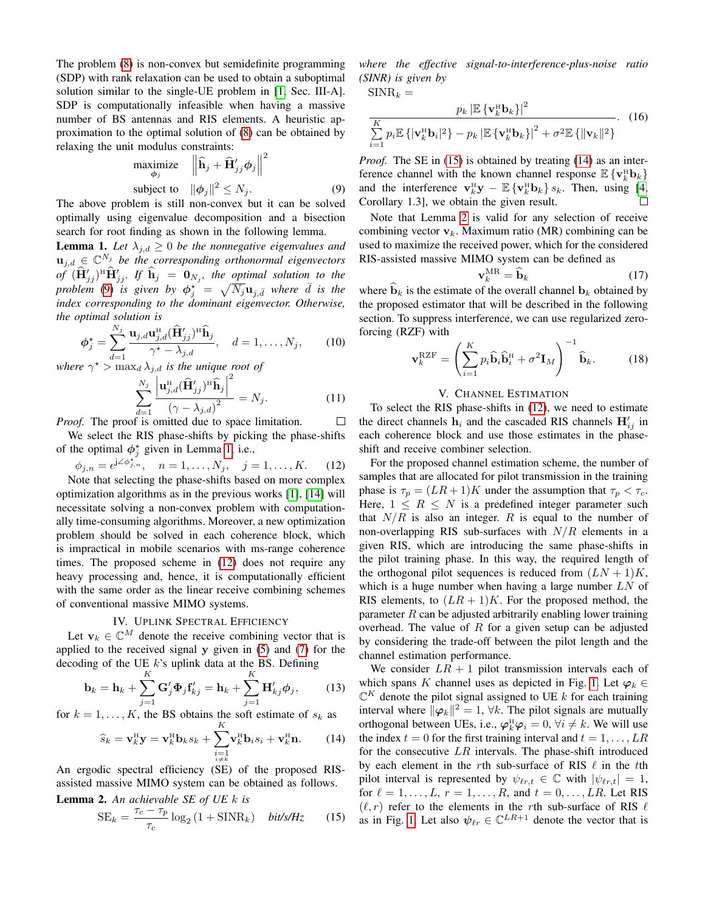The problem [\(8\)](#page-1-3) is non-convex but semidefinite programming (SDP) with rank relaxation can be used to obtain a suboptimal solution similar to the single-UE problem in [\[1,](#page-5-0) Sec. III-A]. SDP is computationally infeasible when having a massive number of BS antennas and RIS elements. A heuristic approximation to the optimal solution of [\(8\)](#page-1-3) can be obtained by relaxing the unit modulus constraints:

<span id="page-2-0"></span>
$$
\begin{aligned}\n\text{maximize} & \quad \left\| \widehat{\mathbf{h}}_j + \widehat{\mathbf{H}}'_{jj} \phi_j \right\|^2 \\
\text{subject to} & \quad \|\phi_j\|^2 \le N_j.\n\end{aligned} \tag{9}
$$

The above problem is still non-convex but it can be solved optimally using eigenvalue decomposition and a bisection search for root finding as shown in the following lemma.

<span id="page-2-1"></span>**Lemma 1.** Let  $\lambda_{j,d} \geq 0$  be the nonnegative eigenvalues and  $\mathbf{u}_{j,d} \in \mathbb{C}^{N_j}$  be the corresponding orthonormal eigenvectors *of*  $(\hat{\mathbf{H}}'_{jj})^{\text{H}}\hat{\mathbf{H}}'_{jj}$ . If  $\hat{\mathbf{h}}_j = \mathbf{0}_{N_j}$ , the optimal solution to the *problem* [\(9\)](#page-2-0) is given by  $\phi_j^* = \sqrt{N_j} \mathbf{u}_{j,\bar{d}}$  where  $\bar{d}$  is the *index corresponding to the dominant eigenvector. Otherwise, the optimal solution is*

$$
\phi_j^* = \sum_{d=1}^{N_j} \frac{\mathbf{u}_{j,d} \mathbf{u}_{j,d}^{\mathrm{H}}(\widehat{\mathbf{H}}'_{jj})^{\mathrm{H}} \widehat{\mathbf{h}}_j}{\gamma^* - \lambda_{j,d}}, \quad d = 1, \dots, N_j,
$$
 (10)

where  $\gamma^*$   $>$   $\max_d \lambda_{j,d}$  is the unique root of

$$
\sum_{d=1}^{N_j} \frac{\left| \mathbf{u}_{j,d}^{\mathrm{H}} (\hat{\mathbf{H}}'_{jj})^{\mathrm{H}} \hat{\mathbf{h}}_j \right|^2}{\left( \gamma - \lambda_{j,d} \right)^2} = N_j. \tag{11}
$$

*Proof.* The proof is omitted due to space limitation.  $\Box$ 

We select the RIS phase-shifts by picking the phase-shifts of the optimal  $\phi_j^*$  given in Lemma [1,](#page-2-1) i.e.,

<span id="page-2-2"></span>
$$
\phi_{j,n} = e^{j2\phi_{j,n}^{*}}, \quad n = 1, \dots, N_j, \quad j = 1, \dots, K.
$$
 (12)

Note that selecting the phase-shifts based on more complex optimization algorithms as in the previous works [\[1\]](#page-5-0), [\[14\]](#page-5-8) will necessitate solving a non-convex problem with computationally time-consuming algorithms. Moreover, a new optimization problem should be solved in each coherence block, which is impractical in mobile scenarios with ms-range coherence times. The proposed scheme in [\(12\)](#page-2-2) does not require any heavy processing and, hence, it is computationally efficient with the same order as the linear receive combining schemes of conventional massive MIMO systems.

### IV. UPLINK SPECTRAL EFFICIENCY

Let  $v_k \in \mathbb{C}^M$  denote the receive combining vector that is applied to the received signal y given in [\(5\)](#page-1-1) and [\(7\)](#page-1-2) for the decoding of the UE  $k$ 's uplink data at the BS. Defining

<span id="page-2-6"></span>
$$
\mathbf{b}_k = \mathbf{h}_k + \sum_{j=1}^K \mathbf{G}'_j \boldsymbol{\Phi}_j \mathbf{f}'_{kj} = \mathbf{h}_k + \sum_{j=1}^K \mathbf{H}'_{kj} \boldsymbol{\phi}_j, \qquad (13)
$$

for  $k = 1, ..., K$ , the BS obtains the soft estimate of  $s_k$  as

<span id="page-2-4"></span>
$$
\widehat{s}_k = \mathbf{v}_k^{\mathrm{H}} \mathbf{y} = \mathbf{v}_k^{\mathrm{H}} \mathbf{b}_k s_k + \sum_{\substack{i=1 \ i \neq k}}^K \mathbf{v}_k^{\mathrm{H}} \mathbf{b}_i s_i + \mathbf{v}_k^{\mathrm{H}} \mathbf{n}.
$$
 (14)

An ergodic spectral efficiency (SE) of the proposed RISassisted massive MIMO system can be obtained as follows.

<span id="page-2-5"></span>Lemma 2. *An achievable SE of UE* k *is*

<span id="page-2-3"></span>
$$
SE_k = \frac{\tau_c - \tau_p}{\tau_c} \log_2 \left( 1 + \text{SINR}_k \right) \quad \text{bit/s/Hz} \tag{15}
$$

*where the effective signal-to-interference-plus-noise ratio (SINR) is given by*

 $SINR_k =$ 

$$
\frac{p_k \left| \mathbb{E} \left\{ \mathbf{v}_k^{\mathrm{H}} \mathbf{b}_k \right\} \right|^2}{\sum_{i=1}^K p_i \mathbb{E} \left\{ |\mathbf{v}_k^{\mathrm{H}} \mathbf{b}_i|^2 \right\} - p_k \left| \mathbb{E} \left\{ \mathbf{v}_k^{\mathrm{H}} \mathbf{b}_k \right\} \right|^2 + \sigma^2 \mathbb{E} \left\{ ||\mathbf{v}_k||^2 \right\}}.
$$
 (16)

*Proof.* The SE in [\(15\)](#page-2-3) is obtained by treating [\(14\)](#page-2-4) as an interference channel with the known channel response  $\mathbb{E} \{ \mathbf{v}_k^{\text{H}} \mathbf{b}_k \}$ and the interference  $\mathbf{v}_k^{\text{H}} \mathbf{y} - \mathbb{E} \{ \mathbf{v}_k^{\text{H}} \mathbf{b}_k \} s_k$ . Then, using [\[4,](#page-5-3) Corollary 1.3], we obtain the given result.  $\Box$ 

Note that Lemma [2](#page-2-5) is valid for any selection of receive combining vector  $v_k$ . Maximum ratio (MR) combining can be used to maximize the received power, which for the considered RIS-assisted massive MIMO system can be defined as

<span id="page-2-9"></span><span id="page-2-7"></span>
$$
\mathbf{v}_k^{\text{MR}} = \widehat{\mathbf{b}}_k \tag{17}
$$

where  $\mathbf{b}_k$  is the estimate of the overall channel  $\mathbf{b}_k$  obtained by the proposed estimator that will be described in the following section. To suppress interference, we can use regularized zeroforcing (RZF) with

<span id="page-2-8"></span>
$$
\mathbf{v}_k^{\text{RZF}} = \left(\sum_{i=1}^K p_i \hat{\mathbf{b}}_i \hat{\mathbf{b}}_i^{\text{H}} + \sigma^2 \mathbf{I}_M\right)^{-1} \hat{\mathbf{b}}_k. \tag{18}
$$

#### V. CHANNEL ESTIMATION

To select the RIS phase-shifts in [\(12\)](#page-2-2), we need to estimate the direct channels  $h_i$  and the cascaded RIS channels  $H'_{ij}$  in each coherence block and use those estimates in the phaseshift and receive combiner selection.

For the proposed channel estimation scheme, the number of samples that are allocated for pilot transmission in the training phase is  $\tau_p = (LR + 1)K$  under the assumption that  $\tau_p < \tau_c$ . Here,  $1 \leq R \leq N$  is a predefined integer parameter such that  $N/R$  is also an integer. R is equal to the number of non-overlapping RIS sub-surfaces with  $N/R$  elements in a given RIS, which are introducing the same phase-shifts in the pilot training phase. In this way, the required length of the orthogonal pilot sequences is reduced from  $(LN + 1)K$ , which is a huge number when having a large number  $LN$  of RIS elements, to  $(LR + 1)K$ . For the proposed method, the parameter  $R$  can be adjusted arbitrarily enabling lower training overhead. The value of R for a given setup can be adjusted by considering the trade-off between the pilot length and the channel estimation performance.

We consider  $LR + 1$  pilot transmission intervals each of which spans K channel uses as depicted in Fig. [1.](#page-3-0) Let  $\varphi_k \in$  $\mathbb{C}^K$  denote the pilot signal assigned to UE k for each training interval where  $\|\varphi_k\|^2 = 1$ ,  $\forall k$ . The pilot signals are mutually orthogonal between UEs, i.e.,  $\varphi_k^{\text{H}} \varphi_i = 0$ ,  $\forall i \neq k$ . We will use the index  $t = 0$  for the first training interval and  $t = 1, \ldots, LR$ for the consecutive  $LR$  intervals. The phase-shift introduced by each element in the rth sub-surface of RIS  $\ell$  in the tth pilot interval is represented by  $\psi_{\ell r,t} \in \mathbb{C}$  with  $|\psi_{\ell r,t}| = 1$ , for  $\ell = 1, ..., L, r = 1, ..., R$ , and  $t = 0, ..., LR$ . Let RIS  $(\ell, r)$  refer to the elements in the rth sub-surface of RIS  $\ell$ as in Fig. [1.](#page-3-0) Let also  $\psi_{\ell r} \in \mathbb{C}^{LR+1}$  denote the vector that is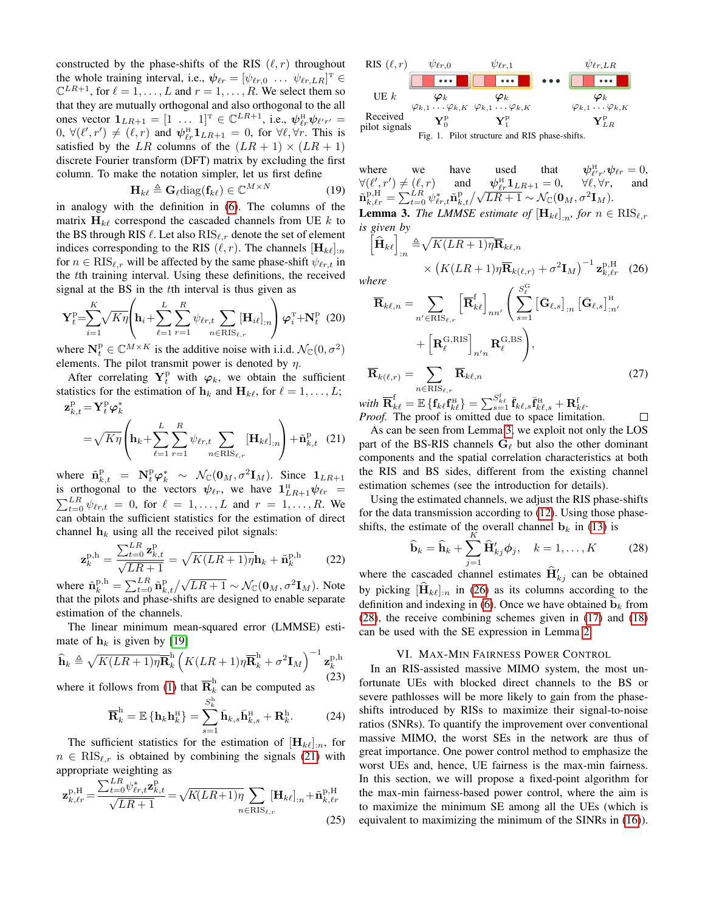constructed by the phase-shifts of the RIS  $(\ell, r)$  throughout the whole training interval, i.e.,  $\psi_{\ell r} = [\psi_{\ell r,0} \dots \psi_{\ell r,LR}]^{T} \in$  $\mathbb{C}^{LR+1}$ , for  $\ell = 1, \ldots, L$  and  $r = 1, \ldots, R$ . We select them so that they are mutually orthogonal and also orthogonal to the all ones vector  $\mathbf{1}_{LR+1} = [1 \dots 1]^T \in \mathbb{C}^{LR+1}$ , i.e.,  $\psi_{\ell r}^H \psi_{\ell' r'} =$  $0, \forall (\ell', r') \neq (\ell, r)$  and  $\psi_{\ell r}^{\text{H}} \mathbf{1}_{LR+1} = 0$ , for  $\forall \ell, \forall r$ . This is satisfied by the LR columns of the  $(LR + 1) \times (LR + 1)$ discrete Fourier transform (DFT) matrix by excluding the first column. To make the notation simpler, let us first define

$$
\mathbf{H}_{k\ell} \triangleq \mathbf{G}_{\ell} \text{diag}(\mathbf{f}_{k\ell}) \in \mathbb{C}^{M \times N}
$$
 (19)

in analogy with the definition in [\(6\)](#page-1-4). The columns of the matrix  $H_{k\ell}$  correspond the cascaded channels from UE k to the BS through RIS  $\ell$ . Let also  $RIS_{\ell,r}$  denote the set of element indices corresponding to the RIS  $(\ell, r)$ . The channels  $[\mathbf{H}_{k\ell}]_{:n}$ for  $n \in \text{RIS}_{\ell,r}$  will be affected by the same phase-shift  $\psi_{\ell,r,t}$  in the tth training interval. Using these definitions, the received signal at the BS in the tth interval is thus given as

$$
\mathbf{Y}_{t}^{\mathrm{p}} = \sum_{i=1}^{K} \sqrt{K\eta} \left( \mathbf{h}_{i} + \sum_{\ell=1}^{L} \sum_{r=1}^{R} \psi_{\ell r,t} \sum_{n \in \mathrm{RIS}_{\ell,r}} [\mathbf{H}_{i\ell}]_{:n} \right) \varphi_{i}^{\mathrm{T}} + \mathbf{N}_{t}^{\mathrm{p}} \tag{20}
$$

where  $\mathbf{N}_{t}^{\text{p}} \in \mathbb{C}^{M \times K}$  is the additive noise with i.i.d.  $\mathcal{N}_{\mathbb{C}}(0, \sigma^2)$ elements. The pilot transmit power is denoted by  $\eta$ .

After correlating  $Y_t^p$  with  $\varphi_k$ , we obtain the sufficient statistics for the estimation of  $h_k$  and  $H_{k\ell}$ , for  $\ell = 1, \ldots, L$ ;  $\mathbf{z}_{k,t}^{\mathrm{p}}\!=\!\mathbf{Y}^{\mathrm{p}}_t\boldsymbol{\varphi}^*_k$ 

$$
= \sqrt{K\eta} \left( \mathbf{h}_k + \sum_{\ell=1}^L \sum_{r=1}^R \psi_{\ell r,t} \sum_{n \in \text{RIS}_{\ell,r}} \left[ \mathbf{H}_{k\ell} \right]_{:n} \right) + \tilde{\mathbf{n}}_{k,t}^{\text{p}} \quad (21)
$$

where  $\tilde{\mathbf{n}}_{k,t}^{\mathrm{p}} = \mathbf{N}_{t}^{\mathrm{p}} \boldsymbol{\varphi}_{k}^{*} \sim \mathcal{N}_{\mathbb{C}}(\mathbf{0}_{M}, \sigma^{2} \mathbf{I}_{M})$ . Since  $\mathbf{1}_{LR+1}$ is orthogonal to the vectors  $\psi_{\ell r}$ , we have  $1^{\text{H}}_{LR+1}\psi_{\ell r}$  =  $\sum_{t=0}^{LR} \psi_{\ell r,t} = 0$ , for  $\ell = 1, \ldots, L$  and  $r = 1, \ldots, R$ . We can obtain the sufficient statistics for the estimation of direct channel  $h_k$  using all the received pilot signals:

$$
\mathbf{z}_{k}^{\mathrm{p,h}} = \frac{\sum_{t=0}^{LR} \mathbf{z}_{k,t}^{\mathrm{p}}}{\sqrt{LR+1}} = \sqrt{K(LR+1)\eta} \mathbf{h}_{k} + \tilde{\mathbf{n}}_{k}^{\mathrm{p,h}} \tag{22}
$$

where  $\tilde{\mathbf{n}}_k^{\text{p,h}} = \sum_{t=0}^{LR} \tilde{\mathbf{n}}_{k,t}^{\text{p}} / \sqrt{LR+1} \sim \mathcal{N}_{\mathbb{C}}(\mathbf{0}_M, \sigma^2 \mathbf{I}_M)$ . Note that the pilots and phase-shifts are designed to enable separate estimation of the channels.

The linear minimum mean-squared error (LMMSE) estimate of  $h_k$  is given by [\[19\]](#page-5-16)

$$
\widehat{\mathbf{h}}_k \triangleq \sqrt{K(LR+1)\eta} \overline{\mathbf{R}}_k^{\mathrm{h}} \left( K(LR+1)\eta \overline{\mathbf{R}}_k^{\mathrm{h}} + \sigma^2 \mathbf{I}_M \right)^{-1} \mathbf{z}_k^{\mathrm{p,h}} \tag{23}
$$

where it follows from [\(1\)](#page-1-0) that  $\overline{\mathbf{R}}_k^{\text{h}}$  $\frac{1}{k}$  can be computed as

$$
\overline{\mathbf{R}}_k^{\mathrm{h}} = \mathbb{E}\left\{\mathbf{h}_k \mathbf{h}_k^{\mathrm{H}}\right\} = \sum_{s=1}^{S_k^{\mathrm{h}}} \overline{\mathbf{h}}_{k,s} \overline{\mathbf{h}}_{k,s}^{\mathrm{H}} + \mathbf{R}_k^{\mathrm{h}}.
$$
 (24)

The sufficient statistics for the estimation of  $[H_{k\ell}]_{:n}$ , for  $n \in \text{RIS}_{\ell,r}$  is obtained by combining the signals [\(21\)](#page-3-1) with appropriate weighting as

$$
\mathbf{z}_{k,\ell r}^{\mathrm{p},\mathrm{H}} = \frac{\sum_{t=0}^{LR} \psi_{\ell r,t}^* \mathbf{z}_{k,t}^{\mathrm{p}}}{\sqrt{LR+1}} = \sqrt{K(LR+1)\eta} \sum_{n \in \mathrm{RIS}_{\ell,r}} [\mathbf{H}_{k\ell}]_{:,n} + \tilde{\mathbf{n}}_{k,\ell r}^{\mathrm{p},\mathrm{H}} \tag{25}
$$



<span id="page-3-2"></span><span id="page-3-0"></span>where we have used that  $\psi_{\ell' r'}^{\text{H}} \psi_{\ell r} = 0$ ,<br>  $\forall (\ell', r') \neq (\ell, r)$  and  $\psi_{\ell r}^{\text{H}} \mathbf{1}_{LR+1} = 0$ ,  $\forall \ell, \forall r$ , and  $\boldsymbol{\psi}_{\ell' r'}^{\text{\tiny H}} \boldsymbol{\psi}_{\ell r} = 0,$  $\tilde{\mathbf{n}}_{k,\ell r}^{p,H}(t, r) \neq (\mathcal{E}, r)$  and  $\psi_{\ell r}^{p,H}L_{R+1}^{p,H} = 0$ ,  $\forall \mathcal{E}, \forall r$ ,<br>  $\tilde{\mathbf{n}}_{k,\ell r}^{p,H} = \sum_{t=0}^{K} \psi_{\ell r,t}^{*} \tilde{\mathbf{n}}_{k,t}^{p}/\sqrt{LR+1} \sim \mathcal{N}_{\mathbb{C}}(\mathbf{0}_{M}, \sigma^{2} \mathbf{I}_{M}).$ **Lemma 3.** *The LMMSE estimate of*  $[\mathbf{H}_{k\ell}]_{:n}$ , *for*  $n \in \text{RIS}_{\ell,r}$ *is given by*  $\left[\widehat{\mathbf{H}}_{k\ell}\right]_{:n}$  $\triangleq \sqrt{K(LR+1)\eta}\overline{\mathbf{R}}_{k\ell,n}$ 

<span id="page-3-3"></span>*where*

$$
\overline{\mathbf{R}}_{k\ell,n} = \sum_{n' \in \text{RIS}_{\ell,r}} \left[ \overline{\mathbf{R}}_{k\ell}^{\text{f}} \right]_{nn'} \left( \sum_{s=1}^{S_{\ell}^{\text{G}}} \left[ \overline{\mathbf{G}}_{\ell,s} \right]_{:n} \left[ \overline{\mathbf{G}}_{\ell,s} \right]_{:n'}^{H} + \left[ \mathbf{R}_{\ell}^{\text{G,RIS}} \right]_{n'n} \mathbf{R}_{\ell}^{\text{G,BS}} \right),
$$
\n
$$
\overline{\mathbf{R}}_{k(\ell,r)} = \sum_{n \in \text{RIS}_{\ell,r}} \overline{\mathbf{R}}_{k\ell,n} \tag{27}
$$

 $\times \left(K(LR+1)\eta\overline{\mathbf{R}}_{k(\ell,r)}+\sigma^2\mathbf{I}_M\right)^{-1}\mathbf{z}_{k,\ell r}^\text{p,H} \quad (26)$ 

 $\Box$ 

 $\overline{\mathbf{R}}_{k\ell}^{\text{f}} = \mathbb{E} \left\{ \mathbf{f}_{k\ell} \mathbf{f}_{k\ell}^{\text{H}} \right\} = \sum_{s=1}^{S_{k\ell}^{\text{f}}} \overline{\mathbf{f}}_{k\ell,s} \overline{\mathbf{f}}_{k\ell,s}^{\text{H}} + \mathbf{R}_{k\ell}^{\text{f}}.$ *Proof.* The proof is omitted due to space limitation.

<span id="page-3-1"></span>As can be seen from Lemma [3,](#page-3-2) we exploit not only the LOS part of the BS-RIS channels  $G_\ell$  but also the other dominant components and the spatial correlation characteristics at both the RIS and BS sides, different from the existing channel estimation schemes (see the introduction for details).

Using the estimated channels, we adjust the RIS phase-shifts for the data transmission according to [\(12\)](#page-2-2). Using those phaseshifts, the estimate of the overall channel  $\mathbf{b}_k$  in [\(13\)](#page-2-6) is

<span id="page-3-4"></span>
$$
\widehat{\mathbf{b}}_k = \widehat{\mathbf{h}}_k + \sum_{j=1}^n \widehat{\mathbf{H}}'_{kj} \phi_j, \quad k = 1, \dots, K \tag{28}
$$

where the cascaded channel estimates  $\hat{\mathbf{H}}'_{kj}$  can be obtained by picking  $[\mathbf{H}_{k\ell}]_{:n}$  in [\(26\)](#page-3-3) as its columns according to the definition and indexing in [\(6\)](#page-1-4). Once we have obtained  $\mathbf{b}_k$  from [\(28\)](#page-3-4), the receive combining schemes given in [\(17\)](#page-2-7) and [\(18\)](#page-2-8) can be used with the SE expression in Lemma [2.](#page-2-5)

#### VI. MAX-MIN FAIRNESS POWER CONTROL

In an RIS-assisted massive MIMO system, the most unfortunate UEs with blocked direct channels to the BS or severe pathlosses will be more likely to gain from the phaseshifts introduced by RISs to maximize their signal-to-noise ratios (SNRs). To quantify the improvement over conventional massive MIMO, the worst SEs in the network are thus of great importance. One power control method to emphasize the worst UEs and, hence, UE fairness is the max-min fairness. In this section, we will propose a fixed-point algorithm for the max-min fairness-based power control, where the aim is to maximize the minimum SE among all the UEs (which is equivalent to maximizing the minimum of the SINRs in [\(16\)](#page-2-9)).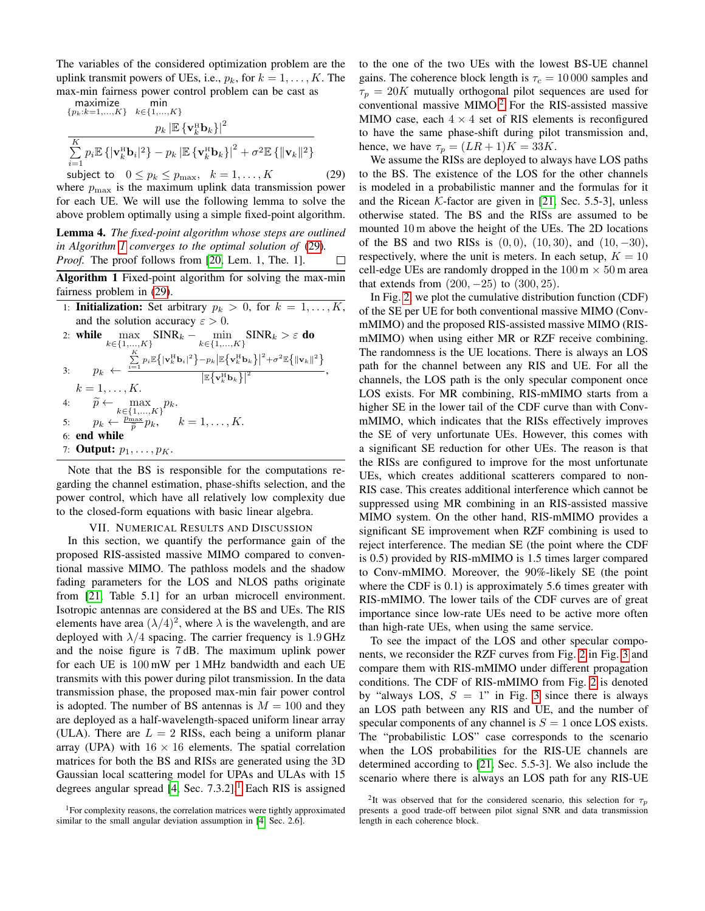The variables of the considered optimization problem are the uplink transmit powers of UEs, i.e.,  $p_k$ , for  $k = 1, \ldots, K$ . The max-min fairness power control problem can be cast as

$$
\begin{array}{ll}\n\text{maximize} & \text{min} \\
\{p_k:k=1,\ldots,K\} & k \in \{1,\ldots,K\} \\
& p_k \left| \mathbb{E} \left\{ \mathbf{v}_k^{\mathrm{H}} \mathbf{b}_k \right\} \right|^2\n\end{array}
$$

$$
\frac{p_k |\mathbb{E} \{ \mathbf{v}_k \mathbf{b}_k \}|}{\sum_{i=1}^K p_i \mathbb{E} \{ |\mathbf{v}_k^{\text{H}} \mathbf{b}_i|^2 \} - p_k |\mathbb{E} \{ \mathbf{v}_k^{\text{H}} \mathbf{b}_k \}|^2 + \sigma^2 \mathbb{E} \{ ||\mathbf{v}_k||^2 \}}
$$

<span id="page-4-1"></span>subject to  $0 \le p_k \le p_{\text{max}}, k = 1, ..., K$  (29) where  $p_{\text{max}}$  is the maximum uplink data transmission power for each UE. We will use the following lemma to solve the above problem optimally using a simple fixed-point algorithm.

Lemma 4. *The fixed-point algorithm whose steps are outlined in Algorithm [1](#page-4-0) converges to the optimal solution of* [\(29\)](#page-4-1)*. Proof.* The proof follows from [\[20,](#page-5-17) Lem. 1, The. 1].  $\Box$ 

<span id="page-4-0"></span>Algorithm 1 Fixed-point algorithm for solving the max-min fairness problem in [\(29\)](#page-4-1).

1: **Initialization:** Set arbitrary  $p_k > 0$ , for  $k = 1, ..., K$ , and the solution accuracy  $\varepsilon > 0$ .

2: while 
$$
\max_{k \in \{1,\ldots,K\}} \text{SINR}_k - \min_{k \in \{1,\ldots,K\}} \text{SINR}_k > \varepsilon \text{ do}
$$
\n
$$
\sum_{k=1}^K p_i \mathbb{E}\{|\mathbf{v}_k^H \mathbf{b}_i|^2\} - p_k |\mathbb{E}\{\mathbf{v}_k^H \mathbf{b}_k\}|^2 + \sigma^2 \mathbb{E}\{||\mathbf{v}_k||^2\}}
$$
\n3: 
$$
p_k \leftarrow \frac{\sum_{i=1}^K p_i \mathbb{E}\{|\mathbf{v}_k^H \mathbf{b}_k\}|^2 + \sigma^2 \mathbb{E}\{||\mathbf{v}_k||^2\}}{|\mathbb{E}\{\mathbf{v}_k^H \mathbf{b}_k\}|^2},
$$
\n4: 
$$
\widetilde{p} \leftarrow \max_{k \in \{1,\ldots,K\}} p_k.
$$
\n5: 
$$
p_k \leftarrow \frac{p_{\text{max}}}{\widetilde{p}} p_k, \quad k = 1, \ldots, K.
$$
\n6: **end while**  
\n7: **Output:** 
$$
p_1, \ldots, p_K.
$$

Note that the BS is responsible for the computations regarding the channel estimation, phase-shifts selection, and the power control, which have all relatively low complexity due to the closed-form equations with basic linear algebra.

#### VII. NUMERICAL RESULTS AND DISCUSSION

In this section, we quantify the performance gain of the proposed RIS-assisted massive MIMO compared to conventional massive MIMO. The pathloss models and the shadow fading parameters for the LOS and NLOS paths originate from [\[21,](#page-5-18) Table 5.1] for an urban microcell environment. Isotropic antennas are considered at the BS and UEs. The RIS elements have area  $(\lambda/4)^2$ , where  $\lambda$  is the wavelength, and are deployed with  $\lambda/4$  spacing. The carrier frequency is 1.9 GHz and the noise figure is 7 dB. The maximum uplink power for each UE is 100 mW per 1 MHz bandwidth and each UE transmits with this power during pilot transmission. In the data transmission phase, the proposed max-min fair power control is adopted. The number of BS antennas is  $M = 100$  and they are deployed as a half-wavelength-spaced uniform linear array (ULA). There are  $L = 2$  RISs, each being a uniform planar array (UPA) with  $16 \times 16$  elements. The spatial correlation matrices for both the BS and RISs are generated using the 3D Gaussian local scattering model for UPAs and ULAs with 15 degrees angular spread  $[4, \text{Sec. } 7.3.2]$  $[4, \text{Sec. } 7.3.2]$ .<sup>[1](#page-4-2)</sup> Each RIS is assigned to the one of the two UEs with the lowest BS-UE channel gains. The coherence block length is  $\tau_c = 10000$  samples and  $\tau_p = 20K$  mutually orthogonal pilot sequences are used for conventional massive MIMO. $<sup>2</sup>$  $<sup>2</sup>$  $<sup>2</sup>$  For the RIS-assisted massive</sup> MIMO case, each  $4 \times 4$  set of RIS elements is reconfigured to have the same phase-shift during pilot transmission and, hence, we have  $\tau_p = (LR + 1)K = 33K$ .

We assume the RISs are deployed to always have LOS paths to the BS. The existence of the LOS for the other channels is modeled in a probabilistic manner and the formulas for it and the Ricean  $K$ -factor are given in [\[21,](#page-5-18) Sec. 5.5-3], unless otherwise stated. The BS and the RISs are assumed to be mounted 10 m above the height of the UEs. The 2D locations of the BS and two RISs is  $(0, 0)$ ,  $(10, 30)$ , and  $(10, -30)$ , respectively, where the unit is meters. In each setup,  $K = 10$ cell-edge UEs are randomly dropped in the  $100 \text{ m} \times 50 \text{ m}$  area that extends from  $(200, -25)$  to  $(300, 25)$ .

In Fig. [2,](#page-5-19) we plot the cumulative distribution function (CDF) of the SE per UE for both conventional massive MIMO (ConvmMIMO) and the proposed RIS-assisted massive MIMO (RISmMIMO) when using either MR or RZF receive combining. The randomness is the UE locations. There is always an LOS path for the channel between any RIS and UE. For all the channels, the LOS path is the only specular component once LOS exists. For MR combining, RIS-mMIMO starts from a higher SE in the lower tail of the CDF curve than with ConvmMIMO, which indicates that the RISs effectively improves the SE of very unfortunate UEs. However, this comes with a significant SE reduction for other UEs. The reason is that the RISs are configured to improve for the most unfortunate UEs, which creates additional scatterers compared to non-RIS case. This creates additional interference which cannot be suppressed using MR combining in an RIS-assisted massive MIMO system. On the other hand, RIS-mMIMO provides a significant SE improvement when RZF combining is used to reject interference. The median SE (the point where the CDF is 0.5) provided by RIS-mMIMO is 1.5 times larger compared to Conv-mMIMO. Moreover, the 90%-likely SE (the point where the CDF is 0.1) is approximately 5.6 times greater with RIS-mMIMO. The lower tails of the CDF curves are of great importance since low-rate UEs need to be active more often than high-rate UEs, when using the same service.

To see the impact of the LOS and other specular components, we reconsider the RZF curves from Fig. [2](#page-5-19) in Fig. [3](#page-5-20) and compare them with RIS-mMIMO under different propagation conditions. The CDF of RIS-mMIMO from Fig. [2](#page-5-19) is denoted by "always LOS,  $S = 1$ " in Fig. [3](#page-5-20) since there is always an LOS path between any RIS and UE, and the number of specular components of any channel is  $S = 1$  once LOS exists. The "probabilistic LOS" case corresponds to the scenario when the LOS probabilities for the RIS-UE channels are determined according to [\[21,](#page-5-18) Sec. 5.5-3]. We also include the scenario where there is always an LOS path for any RIS-UE

<span id="page-4-2"></span><sup>&</sup>lt;sup>1</sup>For complexity reasons, the correlation matrices were tightly approximated similar to the small angular deviation assumption in [\[4,](#page-5-3) Sec. 2.6].

<span id="page-4-3"></span><sup>&</sup>lt;sup>2</sup>It was observed that for the considered scenario, this selection for  $\tau_p$ presents a good trade-off between pilot signal SNR and data transmission length in each coherence block.